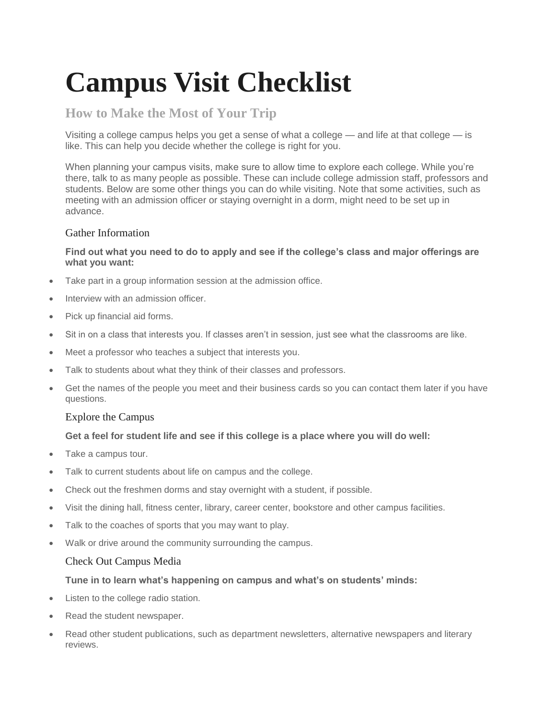# **Campus Visit Checklist**

## **How to Make the Most of Your Trip**

Visiting a college campus helps you get a sense of what a college — and life at that college — is like. This can help you decide whether the college is right for you.

When planning your campus visits, make sure to allow time to explore each college. While you're there, talk to as many people as possible. These can include college admission staff, professors and students. Below are some other things you can do while visiting. Note that some activities, such as meeting with an admission officer or staying overnight in a dorm, might need to be set up in advance.

### Gather Information

#### **Find out what you need to do to apply and see if the college's class and major offerings are what you want:**

- Take part in a group information session at the admission office.
- Interview with an admission officer.
- Pick up financial aid forms.
- Sit in on a class that interests you. If classes aren't in session, just see what the classrooms are like.
- Meet a professor who teaches a subject that interests you.
- Talk to students about what they think of their classes and professors.
- Get the names of the people you meet and their business cards so you can contact them later if you have questions.

#### Explore the Campus

#### **Get a feel for student life and see if this college is a place where you will do well:**

- Take a campus tour.
- Talk to current students about life on campus and the college.
- Check out the freshmen dorms and stay overnight with a student, if possible.
- Visit the dining hall, fitness center, library, career center, bookstore and other campus facilities.
- Talk to the coaches of sports that you may want to play.
- Walk or drive around the community surrounding the campus.

#### Check Out Campus Media

#### **Tune in to learn what's happening on campus and what's on students' minds:**

- Listen to the college radio station.
- Read the student newspaper.
- Read other student publications, such as department newsletters, alternative newspapers and literary reviews.